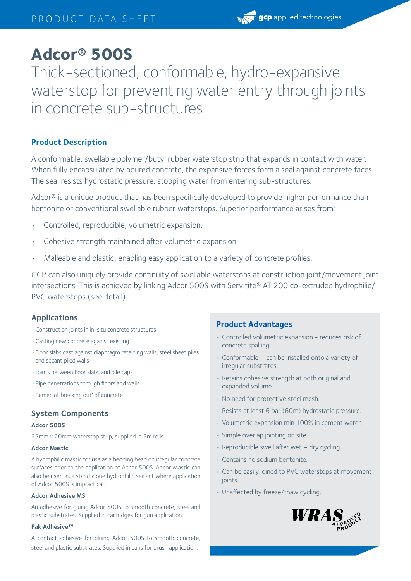# **Adcor® 500S**

Thick-sectioned, conformable, hydro-expansive waterstop for preventing water entry through joints in concrete sub-structures

# **Product Description**

A conformable, swellable polymer/butyl rubber waterstop strip that expands in contact with water. When fully encapsulated by poured concrete, the expansive forces form a seal against concrete faces. The seal resists hydrostatic pressure, stopping water from entering sub-structures.

Adcor<sup>®</sup> is a unique product that has been specifically developed to provide higher performance than bentonite or conventional swellable rubber waterstops. Superior performance arises from:

- Controlled, reproducible, volumetric expansion.
- Cohesive strength maintained after volumetric expansion.
- Malleable and plastic, enabling easy application to a variety of concrete profiles.

GCP can also uniquely provide continuity of swellable waterstops at construction joint/movement joint intersections. This is achieved by linking Adcor 500S with Servitite® AT 200 co-extruded hydrophilic/ PVC waterstops (see detail).

# **Applications**

- •Construction joints in in-situ concrete structures
- •Casting new concrete against existing
- •Floor slabs cast against diaphragm retaining walls, steel sheet piles and secant piled walls
- •Joints between floor slabs and pile caps
- •Pipe penetrations through floors and walls
- •Remedial 'breaking out' of concrete

## **System Components**

#### **Adcor 500S**

25mm x 20mm waterstop strip, supplied in 5m rolls.

#### **Adcor Mastic**

A hydrophilic mastic for use as a bedding bead on irregular concrete surfaces prior to the application of Adcor 500S. Adcor Mastic can also be used as a stand alone hydrophilic sealant where application of Adcor 500S is impractical.

#### **Adcor Adhesive MS**

An adhesive for gluing Adcor 500S to smooth concrete, steel and plastic substrates. Supplied in cartridges for gun application.

#### **Pak Adhesive™**

A contact adhesive for gluing Adcor 500S to smooth concrete, steel and plastic substrates. Supplied in cans for brush application.

## **Product Advantages**

- Controlled volumetric expansion reduces risk of concrete spalling.
- Conformable can be installed onto a variety of irregular substrates.
- Retains cohesive strength at both original and expanded volume.
- No need for protective steel mesh.
- Resists at least 6 bar (60m) hydrostatic pressure.
- Volumetric expansion min 100% in cement water.
- Simple overlap jointing on site.
- Reproducible swell after wet dry cycling.
- Contains no sodium bentonite.
- Can be easily joined to PVC waterstops at movement joints.
- Unaffected by freeze/thaw cycling.

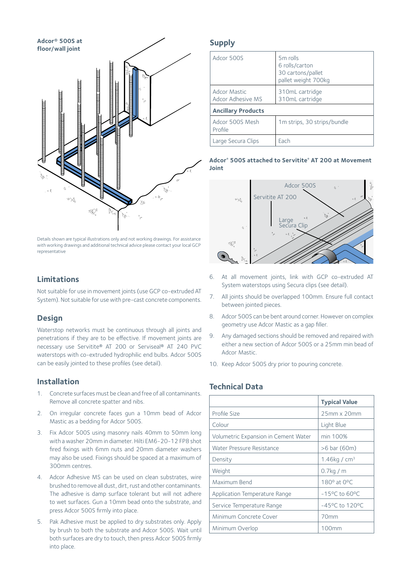

Details shown are typical illustrations only and not working drawings. For assistance with working drawings and additional technical advice please contact your local GCP representative

## **Limitations**

Not suitable for use in movement joints (use GCP co-extruded AT System). Not suitable for use with pre-cast concrete components.

## **Design**

Waterstop networks must be continuous through all joints and penetrations if they are to be effective. If movement joints are necessary use Servitite® AT 200 or Serviseal® AT 240 PVC waterstops with co-extruded hydrophilic end bulbs. Adcor 500S can be easily jointed to these profiles (see detail).

## **Installation**

- 1. Concrete surfaces must be clean and free of all contaminants. Remove all concrete spatter and nibs.
- 2. On irregular concrete faces gun a 10mm bead of Adcor Mastic as a bedding for Adcor 500S.
- 3. Fix Adcor 500S using masonry nails 40mm to 50mm long with a washer 20mm in diameter. Hilti EM6-20-12 FP8 shot fired fixings with 6mm nuts and 20mm diameter washers may also be used. Fixings should be spaced at a maximum of 300mm centres.
- 4. Adcor Adhesive MS can be used on clean substrates, wire brushed to remove all dust, dirt, rust and other contaminants. The adhesive is damp surface tolerant but will not adhere to wet surfaces. Gun a 10mm bead onto the substrate, and press Adcor 500S firmly into place.
- 5. Pak Adhesive must be applied to dry substrates only. Apply by brush to both the substrate and Adcor 500S. Wait until both surfaces are dry to touch, then press Adcor 500S firmly into place.

## **Supply**

| Adcor 500S                        | 5 <sub>m</sub> rolls<br>6 rolls/carton<br>30 cartons/pallet |
|-----------------------------------|-------------------------------------------------------------|
|                                   | pallet weight 700kg                                         |
| Adcor Mastic<br>Adcor Adhesive MS | 310mL cartridge<br>310mL cartridge                          |
| <b>Ancillary Products</b>         |                                                             |
| Adcor 500S Mesh<br>Profile        | 1m strips, 30 strips/bundle                                 |
| Large Secura Clips                | Fach                                                        |

#### **Adcor® 500S attached to Servitite® AT 200 at Movement Joint**



- 6. At all movement joints, link with GCP co-extruded AT System waterstops using Secura clips (see detail).
- 7. All joints should be overlapped 100mm. Ensure full contact between jointed pieces.
- 8. Adcor 500S can be bent around corner. However on complex geometry use Adcor Mastic as a gap filler.
- 9. Any damaged sections should be removed and repaired with either a new section of Adcor 500S or a 25mm min bead of Adcor Mastic.
- 10. Keep Adcor 500S dry prior to pouring concrete.

## **Technical Data**

|                                      | <b>Typical Value</b>      |
|--------------------------------------|---------------------------|
| Profile Size                         | $25mm \times 20mm$        |
| Colour                               | Light Blue                |
| Volumetric Expansion in Cement Water | min 100%                  |
| Water Pressure Resistance            | $>6$ bar (60m)            |
| Density                              | 1.46 $kg / cm3$           |
| Weight                               | $0.7$ kg / m              |
| Maximum Bend                         | 180° at 0°C               |
| Application Temperature Range        | $-15^{\circ}$ C to 60 °C  |
| Service Temperature Range            | $-45^{\circ}$ C to 120 °C |
| Minimum Concrete Cover               | 70mm                      |
| Minimum Overlop                      | 100mm                     |